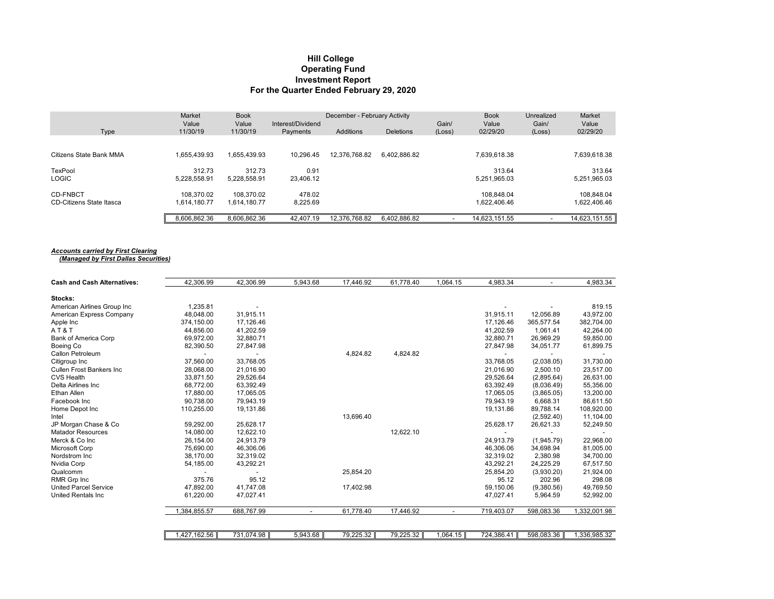## **Hill College Investment Report For the Quarter Ended February 29, 2020 Operating Fund**

|                          | Market            | <b>Book</b>       | December - February Activity  |               |                  |                 | <b>Book</b>       | <b>Unrealized</b> | Market            |
|--------------------------|-------------------|-------------------|-------------------------------|---------------|------------------|-----------------|-------------------|-------------------|-------------------|
| Type                     | Value<br>11/30/19 | Value<br>11/30/19 | Interest/Dividend<br>Payments | Additions     | <b>Deletions</b> | Gain/<br>(Loss) | Value<br>02/29/20 | Gain/<br>(Loss)   | Value<br>02/29/20 |
|                          |                   |                   |                               |               |                  |                 |                   |                   |                   |
| Citizens State Bank MMA  | 1.655.439.93      | 1.655.439.93      | 10.296.45                     | 12,376,768.82 | 6,402,886.82     |                 | 7.639.618.38      |                   | 7,639,618.38      |
| TexPool                  | 312.73            | 312.73            | 0.91                          |               |                  |                 | 313.64            |                   | 313.64            |
| <b>LOGIC</b>             | 5.228.558.91      | 5.228.558.91      | 23.406.12                     |               |                  |                 | 5,251,965.03      |                   | 5,251,965.03      |
| <b>CD-FNBCT</b>          | 108.370.02        | 108.370.02        | 478.02                        |               |                  |                 | 108.848.04        |                   | 108,848.04        |
| CD-Citizens State Itasca | 1.614.180.77      | 1.614.180.77      | 8.225.69                      |               |                  |                 | 1.622.406.46      |                   | 1.622.406.46      |
|                          | 8.606.862.36      | 8.606.862.36      | 42.407.19                     | 12.376.768.82 | 6.402.886.82     |                 | 14.623.151.55     |                   | 14,623,151.55     |

## *Accounts carried by First Clearing (Managed by First Dallas Securities)*

| <b>Cash and Cash Alternatives:</b> | 42.306.99    | 42,306.99  | 5,943.68 | 17,446.92 | 61,778.40 | 1,064.15 | 4,983.34                 |            | 4,983.34     |
|------------------------------------|--------------|------------|----------|-----------|-----------|----------|--------------------------|------------|--------------|
| Stocks:                            |              |            |          |           |           |          |                          |            |              |
| American Airlines Group Inc        | 1,235.81     |            |          |           |           |          |                          |            | 819.15       |
| American Express Company           | 48.048.00    | 31,915.11  |          |           |           |          | 31,915.11                | 12,056.89  | 43,972.00    |
| Apple Inc                          | 374,150.00   | 17,126.46  |          |           |           |          | 17,126.46                | 365,577.54 | 382,704.00   |
| AT & T                             | 44,856.00    | 41,202.59  |          |           |           |          | 41,202.59                | 1,061.41   | 42,264.00    |
| <b>Bank of America Corp</b>        | 69,972.00    | 32,880.71  |          |           |           |          | 32,880.71                | 26,969.29  | 59,850.00    |
| Boeing Co                          | 82,390.50    | 27,847.98  |          |           |           |          | 27,847.98                | 34,051.77  | 61,899.75    |
| Callon Petroleum                   |              |            |          | 4,824.82  | 4,824.82  |          | $\overline{\phantom{0}}$ |            |              |
| Citigroup Inc                      | 37,560.00    | 33,768.05  |          |           |           |          | 33,768.05                | (2,038.05) | 31,730.00    |
| <b>Cullen Frost Bankers Inc.</b>   | 28,068.00    | 21.016.90  |          |           |           |          | 21.016.90                | 2,500.10   | 23,517.00    |
| <b>CVS Health</b>                  | 33,871.50    | 29,526.64  |          |           |           |          | 29,526.64                | (2,895.64) | 26,631.00    |
| Delta Airlines Inc                 | 68,772.00    | 63,392.49  |          |           |           |          | 63,392.49                | (8,036.49) | 55,356.00    |
| Ethan Allen                        | 17,880.00    | 17,065.05  |          |           |           |          | 17,065.05                | (3,865.05) | 13,200.00    |
| Facebook Inc                       | 90.738.00    | 79.943.19  |          |           |           |          | 79.943.19                | 6.668.31   | 86.611.50    |
| Home Depot Inc                     | 110,255.00   | 19,131.86  |          |           |           |          | 19,131.86                | 89,788.14  | 108,920.00   |
| Intel                              |              |            |          | 13,696.40 |           |          |                          | (2,592.40) | 11,104.00    |
| JP Morgan Chase & Co               | 59,292.00    | 25,628.17  |          |           |           |          | 25,628.17                | 26,621.33  | 52,249.50    |
| <b>Matador Resources</b>           | 14,080.00    | 12,622.10  |          |           | 12,622.10 |          |                          |            |              |
| Merck & Co Inc                     | 26,154.00    | 24,913.79  |          |           |           |          | 24,913.79                | (1,945.79) | 22,968.00    |
| Microsoft Corp                     | 75,690.00    | 46,306.06  |          |           |           |          | 46,306.06                | 34,698.94  | 81,005.00    |
| Nordstrom Inc                      | 38,170.00    | 32,319.02  |          |           |           |          | 32,319.02                | 2,380.98   | 34,700.00    |
| Nvidia Corp                        | 54,185.00    | 43,292.21  |          |           |           |          | 43,292.21                | 24,225.29  | 67,517.50    |
| Qualcomm                           |              |            |          | 25,854.20 |           |          | 25,854.20                | (3,930.20) | 21,924.00    |
| RMR Grp Inc                        | 375.76       | 95.12      |          |           |           |          | 95.12                    | 202.96     | 298.08       |
| <b>United Parcel Service</b>       | 47,892.00    | 41,747.08  |          | 17,402.98 |           |          | 59,150.06                | (9,380.56) | 49,769.50    |
| <b>United Rentals Inc.</b>         | 61,220.00    | 47,027.41  |          |           |           |          | 47,027.41                | 5,964.59   | 52,992.00    |
|                                    | .384.855.57  | 688,767.99 |          | 61,778.40 | 17,446.92 |          | 719,403.07               | 598,083.36 | .332,001.98  |
|                                    |              |            |          |           |           |          |                          |            |              |
|                                    | 1.427.162.56 | 731,074.98 | 5,943.68 | 79.225.32 | 79.225.32 | 1,064.15 | 724,386.41               | 598.083.36 | 1.336.985.32 |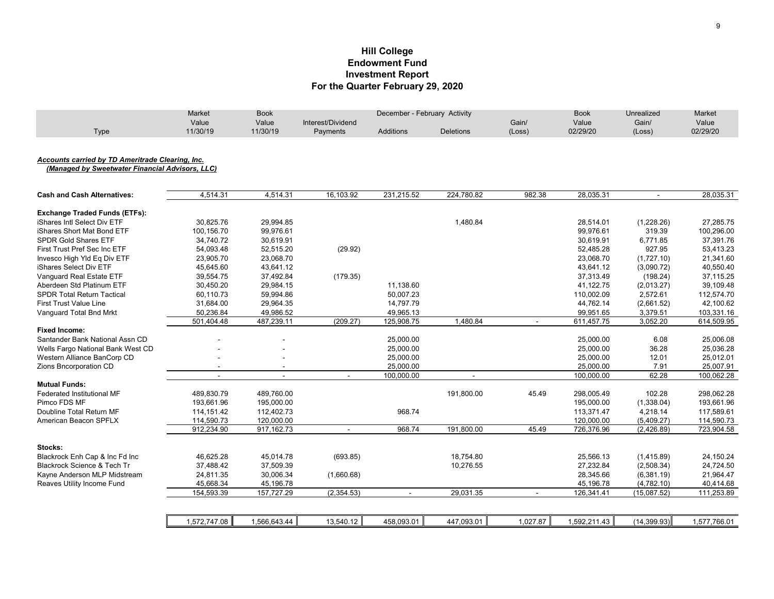## **Hill College Investment Report For the Quarter February 29, 2020 Endowment Fund**

|                                                  | Market         | <b>Book</b>    | December - February Activity |                  |                  |                | <b>Book</b>  | <b>Unrealized</b> | Market       |
|--------------------------------------------------|----------------|----------------|------------------------------|------------------|------------------|----------------|--------------|-------------------|--------------|
|                                                  | Value          | Value          | Interest/Dividend            |                  |                  | Gain/          | Value        | Gain/             | Value        |
| Type                                             | 11/30/19       | 11/30/19       | Payments                     | <b>Additions</b> | <b>Deletions</b> | (Loss)         | 02/29/20     | (Loss)            | 02/29/20     |
|                                                  |                |                |                              |                  |                  |                |              |                   |              |
| Accounts carried by TD Ameritrade Clearing, Inc. |                |                |                              |                  |                  |                |              |                   |              |
| (Managed by Sweetwater Financial Advisors, LLC)  |                |                |                              |                  |                  |                |              |                   |              |
| <b>Cash and Cash Alternatives:</b>               | 4,514.31       | 4,514.31       | 16,103.92                    | 231,215.52       | 224,780.82       | 982.38         | 28,035.31    | $\blacksquare$    | 28,035.31    |
| <b>Exchange Traded Funds (ETFs):</b>             |                |                |                              |                  |                  |                |              |                   |              |
| iShares Intl Select Div ETF                      | 30,825.76      | 29,994.85      |                              |                  | 1,480.84         |                | 28,514.01    | (1,228.26)        | 27,285.75    |
| iShares Short Mat Bond ETF                       | 100,156.70     | 99,976.61      |                              |                  |                  |                | 99,976.61    | 319.39            | 100,296.00   |
| <b>SPDR Gold Shares ETF</b>                      | 34,740.72      | 30,619.91      |                              |                  |                  |                | 30,619.91    | 6,771.85          | 37,391.76    |
| First Trust Pref Sec Inc ETF                     | 54,093.48      | 52,515.20      | (29.92)                      |                  |                  |                | 52,485.28    | 927.95            | 53,413.23    |
| Invesco High Yld Eq Div ETF                      | 23,905.70      | 23,068.70      |                              |                  |                  |                | 23,068.70    | (1,727.10)        | 21,341.60    |
| iShares Select Div ETF                           | 45,645.60      | 43,641.12      |                              |                  |                  |                | 43,641.12    | (3,090.72)        | 40,550.40    |
| Vanguard Real Estate ETF                         | 39,554.75      | 37,492.84      | (179.35)                     |                  |                  |                | 37,313.49    | (198.24)          | 37,115.25    |
| Aberdeen Std Platinum ETF                        | 30,450.20      | 29,984.15      |                              | 11,138.60        |                  |                | 41,122.75    | (2,013.27)        | 39,109.48    |
| <b>SPDR Total Return Tactical</b>                | 60,110.73      | 59,994.86      |                              | 50,007.23        |                  |                | 110,002.09   | 2,572.61          | 112,574.70   |
| <b>First Trust Value Line</b>                    | 31,684.00      | 29,964.35      |                              | 14,797.79        |                  |                | 44,762.14    | (2,661.52)        | 42,100.62    |
| Vanguard Total Bnd Mrkt                          | 50,236.84      | 49,986.52      |                              | 49,965.13        |                  |                | 99,951.65    | 3,379.51          | 103,331.16   |
|                                                  | 501,404.48     | 487,239.11     | (209.27)                     | 125,908.75       | 1,480.84         | $\blacksquare$ | 611,457.75   | 3,052.20          | 614,509.95   |
| <b>Fixed Income:</b>                             |                |                |                              |                  |                  |                |              |                   |              |
| Santander Bank National Assn CD                  |                |                |                              | 25,000.00        |                  |                | 25,000.00    | 6.08              | 25,006.08    |
| Wells Fargo National Bank West CD                |                |                |                              | 25,000.00        |                  |                | 25,000.00    | 36.28             | 25,036.28    |
| Western Alliance BanCorp CD                      |                |                |                              | 25,000.00        |                  |                | 25,000.00    | 12.01             | 25,012.01    |
| Zions Bncorporation CD                           |                | $\blacksquare$ |                              | 25,000.00        |                  |                | 25,000.00    | 7.91              | 25,007.91    |
|                                                  | $\blacksquare$ | $\blacksquare$ | $\blacksquare$               | 100,000.00       | $\blacksquare$   |                | 100,000.00   | 62.28             | 100,062.28   |
| <b>Mutual Funds:</b>                             |                |                |                              |                  |                  |                |              |                   |              |
| Federated Institutional MF                       | 489,830.79     | 489,760.00     |                              |                  | 191,800.00       | 45.49          | 298,005.49   | 102.28            | 298.062.28   |
| Pimco FDS MF                                     | 193,661.96     | 195,000.00     |                              |                  |                  |                | 195,000.00   | (1,338.04)        | 193,661.96   |
| Doubline Total Return MF                         | 114,151.42     | 112,402.73     |                              | 968.74           |                  |                | 113,371.47   | 4,218.14          | 117,589.61   |
| American Beacon SPFLX                            | 114,590.73     | 120,000.00     |                              |                  |                  |                | 120,000.00   | (5,409.27)        | 114,590.73   |
|                                                  | 912,234.90     | 917, 162. 73   | $\sim$                       | 968.74           | 191,800.00       | 45.49          | 726,376.96   | (2,426.89)        | 723,904.58   |
| Stocks:                                          |                |                |                              |                  |                  |                |              |                   |              |
| Blackrock Enh Cap & Inc Fd Inc                   | 46,625.28      | 45,014.78      | (693.85)                     |                  | 18,754.80        |                | 25,566.13    | (1,415.89)        | 24,150.24    |
| Blackrock Science & Tech Tr                      | 37,488.42      | 37,509.39      |                              |                  | 10,276.55        |                | 27,232.84    | (2,508.34)        | 24,724.50    |
| Kayne Anderson MLP Midstream                     | 24,811.35      | 30,006.34      | (1,660.68)                   |                  |                  |                | 28,345.66    | (6,381.19)        | 21.964.47    |
| Reaves Utility Income Fund                       | 45,668.34      | 45,196.78      |                              |                  |                  |                | 45,196.78    | (4,782.10)        | 40,414.68    |
|                                                  | 154,593.39     | 157,727.29     | (2,354.53)                   | $\sim$           | 29,031.35        | $\sim$         | 126,341.41   | (15,087.52)       | 111,253.89   |
|                                                  |                |                |                              |                  |                  |                |              |                   |              |
|                                                  | 1,572,747.08   | 1,566,643.44   | 13,540.12                    | 458,093.01       | 447,093.01       | 1,027.87       | 1,592,211.43 | (14, 399.93)      | 1,577,766.01 |